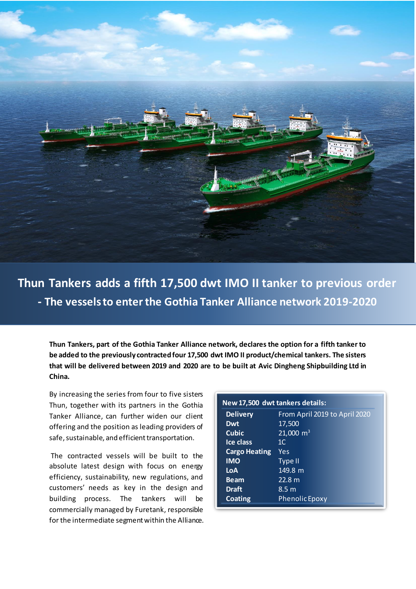

**Thun Tankers adds a fifth 17,500 dwt IMO II tanker to previous order - The vessels to enter the Gothia Tanker Alliance network 2019-2020**

**Thun Tankers, part of the Gothia Tanker Alliance network, declares the option for a fifth tanker to be added to the previously contracted four 17,500 dwt IMO II product/chemical tankers. The sisters that will be delivered between 2019 and 2020 are to be built at Avic Dingheng Shipbuilding Ltd in China.** 

By increasing the series from four to five sisters Thun, together with its partners in the Gothia Tanker Alliance, can further widen our client offering and the position as leading providers of safe, sustainable, and efficient transportation.

The contracted vessels will be built to the absolute latest design with focus on energy efficiency, sustainability, new regulations, and customers' needs as key in the design and building process. The tankers will be commercially managed by Furetank, responsible for the intermediate segment within the Alliance.

| New 17,500 dwt tankers details: |                               |  |  |
|---------------------------------|-------------------------------|--|--|
| <b>Delivery</b>                 | From April 2019 to April 2020 |  |  |
| Dwt                             | 17,500                        |  |  |
| <b>Cubic</b>                    | $21,000 \text{ m}^3$          |  |  |
| Ice class                       | 1C                            |  |  |
| <b>Cargo Heating</b>            | Yes                           |  |  |
| <b>IMO</b>                      | <b>Type II</b>                |  |  |
| LoA                             | 149.8 m                       |  |  |
| <b>Beam</b>                     | 22.8 m                        |  |  |
| <b>Draft</b>                    | 8.5 <sub>m</sub>              |  |  |
| <b>Coating</b>                  | <b>Phenolic Epoxy</b>         |  |  |